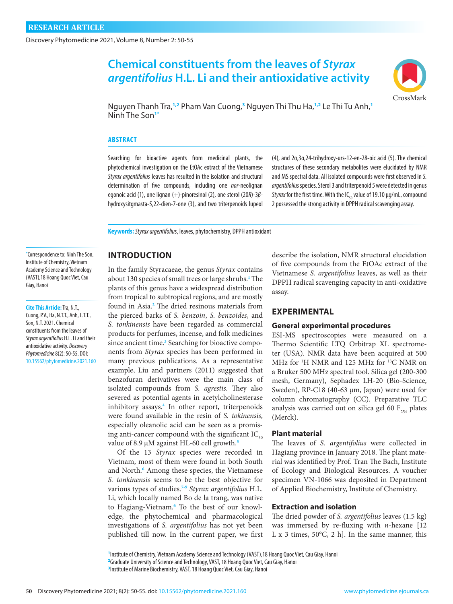Discovery Phytomedicine 2021, Volume 8, Number 2: 50-55

# **Chemical constituents from the leaves of** *Styrax argentifolius* **H.L. Li and their antioxidative activity**



Nguyen Thanh Tra,**1,2** Pham Van Cuong,**<sup>3</sup>** Nguyen Thi Thu Ha,**1,2** Le Thi Tu Anh,**<sup>1</sup>** Ninh The Son**1\***

#### **ABSTRACT**

Searching for bioactive agents from medicinal plants, the phytochemical investigation on the EtOAc extract of the Vietnamese *Styrax argentifolius* leaves has resulted in the isolation and structural determination of five compounds, including one *nor*-neolignan egonoic acid (1), one lignan (+)-pinoresinol (2), one sterol (20*R*)-3*β*hydroxysitgmasta-5,22-dien-7-one (3), and two triterpenoids lupeol

(4), and 2α,3α,24-trihydroxy-urs-12-en-28-oic acid (5). The chemical structures of these secondary metabolites were elucidated by NMR and MS spectral data. All isolated compounds were first observed in *S. argentifolius* species. Sterol 3 and triterpenoid 5 were detected in genus *Styrax* for the first time. With the IC<sub>50</sub> value of 19.10 µg/mL, compound 2 possessed the strong activity in DPPH radical scavenging assay.

**Keywords:***Styrax argentifolius*, leaves, phytochemistry, DPPH antioxidant

## **INTRODUCTION**

In the family Styracaeae, the genus *Styrax* contains about 130 species of small trees or large shrubs.**[1](#page-4-0)** The plants of this genus have a widespread distribution from tropical to subtropical regions, and are mostly found in Asia.**[2](#page-4-0)** The dried resinous materials from the pierced barks of *S. benzoin*, *S. benzoides*, and *S. tonkinensis* have been regarded as commercial products for perfumes, incense, and folk medicines since ancient time.<sup>[3](#page-4-0)</sup> Searching for bioactive components from *Styrax* species has been performed in many previous publications. As a representative example, Liu and partners (2011) suggested that benzofuran derivatives were the main class of isolated compounds from *S. agrestis*. They also severed as potential agents in acetylcholinesterase inhibitory assays.**[4](#page-4-0)** In other report, triterpenoids were found available in the resin of *S. tokinensis*, especially oleanolic acid can be seen as a promising anti-cancer compound with the significant  $IC_{50}$ value of 8.9 µM against HL-60 cell growth.**[5](#page-4-0)**

Of the 13 *Styrax* species were recorded in Vietnam, most of them were found in both South and North.<sup>[6](#page-5-0)</sup> Among these species, the Vietnamese *S. tonkinensis* seems to be the best objective for various types of studies.**[7-9](#page-5-0)** *Styrax argentifolius* H.L. Li, which locally named Bo de la trang, was native to Hagiang-Vietnam.**[6](#page-5-0)** To the best of our knowledge, the phytochemical and pharmacological investigations of *S. argentifolius* has not yet been published till now. In the current paper, we first describe the isolation, NMR structural elucidation of five compounds from the EtOAc extract of the Vietnamese *S. argentifolius* leaves, as well as their DPPH radical scavenging capacity in anti-oxidative assay.

# **EXPERIMENTAL**

### **General experimental procedures**

ESI-MS spectroscopies were measured on a Thermo Scientific LTQ Orbitrap XL spectrometer (USA). NMR data have been acquired at 500 MHz for <sup>1</sup>H NMR and 125 MHz for <sup>13</sup>C NMR on a Bruker 500 MHz spectral tool. Silica gel (200-300 mesh, Germany), Sephadex LH-20 (Bio-Science, Sweden), RP-C18 (40-63 µm, Japan) were used for column chromatography (CC). Preparative TLC analysis was carried out on silica gel 60  $F_{254}$  plates (Merck).

#### **Plant material**

The leaves of *S. argentifolius* were collected in Hagiang province in January 2018. The plant material was identified by Prof. Tran The Bach, Institute of Ecology and Biological Resources. A voucher specimen VN-1066 was deposited in Department of Applied Biochemistry, Institute of Chemistry.

## **Extraction and isolation**

The dried powder of *S. argentifolius* leaves (1.5 kg) was immersed by re-fluxing with *n*-hexane [12 L x 3 times, 50°C, 2 h]. In the same manner, this

**1** Institute of Chemistry, Vietnam Academy Science and Technology (VAST),18 Hoang Quoc Viet, Cau Giay, Hanoi **2** Graduate University of Science and Technology, VAST, 18 Hoang Quoc Viet, Cau Giay, Hanoi **3** Institute of Marine Biochemistry, VAST, 18 Hoang Quoc Viet, Cau Giay, Hanoi

**\*** Correspondence to: Ninh The Son, Institute of Chemistry, Vietnam Academy Science and Technology (VAST),18 Hoang Quoc Viet, Cau Giay, Hanoi

**Cite This Article:** Tra, N.T., Cuong, P.V., Ha, N.T.T., Anh, L.T.T., Son, N.T. 2021. Chemical constituents from the leaves of *Styrax argentifolius* H.L. Li and their antioxidative activity. *Discovery Phytomedicine* 8(2): 50-55. DOI: [10.15562/phytomedicine.2021.160](https://doi.org/10.15562/phytomedicine.2021.160)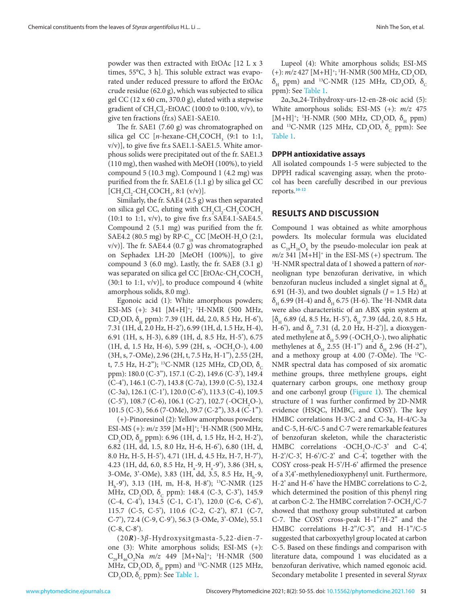The fr. SAE1 (7.60 g) was chromatographed on silica gel CC  $[n$ -hexane-CH<sub>3</sub>COCH<sub>3</sub> (9:1 to 1:1, v/v)], to give five fr.s SAE1.1-SAE1.5. White amorphous solids were precipitated out of the fr. SAE1.3 (110 mg), then washed with MeOH (100%), to yield compound 5 (10.3 mg). Compound 1 (4.2 mg) was purified from the fr. SAE1.6 (1.1 g) by silica gel CC  $[CH_2Cl_2\text{-}CH_3COCH_3, 8:1 (v/v)].$ 

Similarly, the fr. SAE4 (2.5 g) was then separated on silica gel CC, eluting with  $\text{CH}_{2}\text{Cl}_{2}\text{-}\text{CH}_{3}\text{COCH}_{3}$  $(10:1$  to 1:1, v/v), to give five fr.s SAE4.1-SAE4.5. Compound 2 (5.1 mg) was purified from the fr. SAE4.2 (80.5 mg) by RP-C<sub>18</sub> CC [MeOH-H<sub>2</sub>O (2:1, v/v)]. The fr. SAE4.4 (0.7 g) was chromatographed on Sephadex LH-20 [MeOH (100%)], to give compound 3 (6.0 mg). Lastly, the fr. SAE8 (3.1 g) was separated on silica gel CC [EtOAc-CH<sub>3</sub>COCH<sub>3</sub>  $(30:1 \text{ to } 1:1, \text{ v/v})$ ], to produce compound 4 (white amorphous solids, 8.0 mg).

Egonoic acid (1): White amorphous powders; ESI-MS (+): 341 [M+H]<sup>+</sup>; <sup>1</sup>H-NMR (500 MHz, CD<sub>3</sub>OD,  $\delta$ <sub>H</sub> ppm): 7.39 (1H, dd, 2.0, 8.5 Hz, H-6<sup>2</sup>), 7.31 (1H, d, 2.0 Hz, H-2'), 6.99 (1H, d, 1.5 Hz, H-4), 6.91 (1H, s, H-3), 6.89 (1H, d, 8.5 Hz, H-5'), 6.75  $(1H, d, 1.5 Hz, H-6), 5.99 (2H, s, -OCH<sub>2</sub>O-), 4.00$ (3H, s, 7-OMe), 2.96 (2H, t, 7.5 Hz, H-1''), 2.55 (2H, t, 7.5 Hz, H-2"); <sup>13</sup>C-NMR (125 MHz, CD<sub>3</sub>OD,  $\delta_c$ ppm): 180.0 (C-3''), 157.1 (C-2), 149.6 (C-3'), 149.4 (C-4'), 146.1 (C-7), 143.8 (C-7a), 139.0 (C-5), 132.4 (C-3a), 126.1 (C-1'), 120.0 (C-6'), 113.3 (C-4), 109.5  $(C-5')$ , 108.7  $(C-6)$ , 106.1  $(C-2')$ , 102.7  $(-OCH<sub>2</sub>O<sub>-</sub>)$ , 101.5 (C-3), 56.6 (7-OMe), 39.7 (C-2''), 33.4 (C-1'').

(+)-Pinoresinol (2): Yellow amorphous powders; ESI-MS (+): *m/z* 359 [M+H]<sup>+</sup>; <sup>1</sup>H-NMR (500 MHz, CD<sub>3</sub>OD,  $\delta$ <sub>H</sub> ppm): 6.96 (1H, d, 1.5 Hz, H-2, H-2'), 6.82 (1H, dd, 1.5, 8.0 Hz, H-6, H-6'), 6.80 (1H, d, 8.0 Hz, H-5, H-5'), 4.71 (1H, d, 4.5 Hz, H-7, H-7'),  $4.23$  (1H, dd, 6.0, 8.5 Hz, H<sub>a</sub>-9, H<sub>a</sub>-9'), 3.86 (3H, s, 3-OMe, 3'-OMe), 3.83 (1H, dd, 3.5, 8.5 Hz, H<sub>b</sub>-9, H<sub>b</sub>-9'), 3.13 (1H, m, H-8, H-8'); <sup>13</sup>C-NMR (125 MHz, CD<sub>3</sub>OD,  $\delta_{\rm c}$  ppm): 148.4 (C-3, C-3'), 145.9 (C-4, C-4'), 134.5 (C-1, C-1'), 120.0 (C-6, C-6'), 115.7 (C-5, C-5'), 110.6 (C-2, C-2'), 87.1 (C-7, C-7'), 72.4 (C-9, C-9'), 56.3 (3-OMe, 3'-OMe), 55.1  $(C-8, C-8)$ .

(20*R*)-3*β*-Hydroxysitgmasta-5,22-dien-7 one (3): White amorphous solids; ESI-MS (+): C<sub>29</sub>H<sub>46</sub>O<sub>2</sub>Na *m/z* 449 [M+Na]<sup>+</sup>; <sup>1</sup>H-NMR (500 MHz, CD<sub>3</sub>OD,  $\delta$ <sub>H</sub> ppm) and <sup>13</sup>C-NMR (125 MHz,  $CD<sub>3</sub>OD, \delta<sub>c</sub>$  ppm): See [Table 1.](#page-3-0)

Lupeol (4): White amorphous solids; ESI-MS (+):  $m/z$  427 [M+H]<sup>+</sup>; <sup>1</sup>H-NMR (500 MHz, CD<sub>3</sub>OD,  $\delta_{\rm H}$  ppm) and <sup>13</sup>C-NMR (125 MHz, CD<sub>3</sub>OD,  $\delta_{\rm C}$ ppm): See [Table 1](#page-3-0).

2α,3α,24-Trihydroxy-urs-12-en-28-oic acid (5): White amorphous solids; ESI-MS (+): *m/z* 475 [M+H]<sup>+</sup>; <sup>1</sup>H-NMR (500 MHz, CD<sub>3</sub>OD,  $\delta$ <sub>H</sub> ppm) and <sup>13</sup>C-NMR (125 MHz, CD<sub>3</sub>OD,  $\delta_c$  ppm): See [Table 1.](#page-3-0)

#### **DPPH antioxidative assays**

All isolated compounds 1-5 were subjected to the DPPH radical scavenging assay, when the protocol has been carefully described in our previous reports.**[10-12](#page-5-0)**

# **RESULTS AND DISCUSSION**

Compound 1 was obtained as white amorphous powders. Its molecular formula was elucidated as  $C_{19}H_{16}O_6$  by the pseudo-molecular ion peak at  $m/z$  341 [M+H]<sup>+</sup> in the ESI-MS (+) spectrum. The H-NMR spectral data of 1 showed a pattern of *nor*neolignan type benzofuran derivative, in which benzofuran nucleus included a singlet signal at  $\delta$ <sub>H</sub> 6.91 (H-3), and two doublet signals  $(J = 1.5 \text{ Hz})$  at  $\delta_{\rm H}$  6.99 (H-4) and  $\delta_{\rm H}$  6.75 (H-6). The <sup>1</sup>H-NMR data were also characteristic of an ABX spin system at  $[\delta_{H} 6.89$  (d, 8.5 Hz, H-5'),  $\delta_{H} 7.39$  (dd, 2.0, 8.5 Hz, H-6'), and  $\delta_{H}$  7.31 (d, 2.0 Hz, H-2')], a dioxygenated methylene at  $\delta_{\rm H}$  5.99 (-OCH<sub>2</sub>O-), two aliphatic methylenes at  $\delta_{\rm H}$  2.55 (H-1") and  $\delta_{\rm H}$  2.96 (H-2"), and a methoxy group at 4.00 (7-OMe). The 13C-NMR spectral data has composed of six aromatic methine groups, three methylene groups, eight quaternary carbon groups, one methoxy group and one carbonyl group [\(Figure 1\)](#page-2-0). The chemical structure of 1 was further confirmed by 2D-NMR evidence (HSQC, HMBC, and COSY). The key HMBC correlations H-3/C-2 and C-3a, H-4/C-3a and C-5, H-6/C-5 and C-7 were remarkable features of benzofuran skeleton, while the characteristic HMBC correlations - $OCH_2O$ -/C-3' and C-4', H-2'/C-3', H-6'/C-2' and C-4', together with the COSY cross-peak H-5'/H-6' affirmed the presence of a 3',4'-methylenedioxyphenyl unit. Furthermore, H-2' and H-6' have the HMBC correlations to C-2, which determined the position of this phenyl ring at carbon C-2. The HMBC correlation  $7\text{-}OCH_{3}/C\text{-}7$ showed that methoxy group substituted at carbon C-7. The COSY cross-peak H-1''/H-2'' and the HMBC correlations H-2"/C-3", and H-1"/C-5 suggested that carboxyethyl group located at carbon C-5. Based on these findings and comparison with literature data, compound 1 was elucidated as a benzofuran derivative, which named egonoic acid. Secondary metabolite 1 presented in several *Styrax*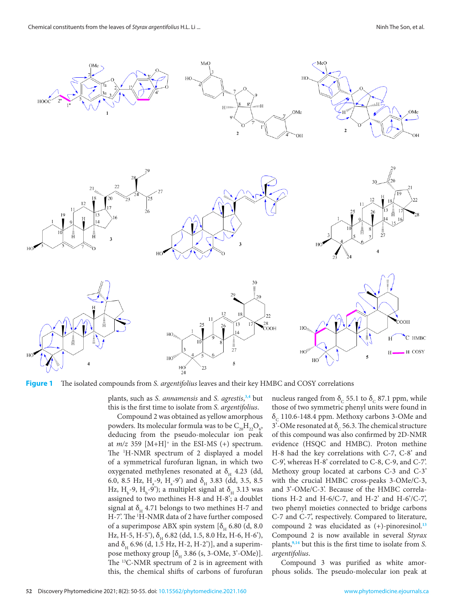<span id="page-2-0"></span>

**Figure 1** The isolated compounds from *S. argentifolius* leaves and their key HMBC and COSY correlations

plants, such as *S. annamensis* and *S. agrestis*, **[3,4](#page-4-0)** but this is the first time to isolate from *S. argentifolius*.

Compound 2 was obtained as yellow amorphous powders. Its molecular formula was to be  $\mathrm{C_{_{20}H_{_{22}O_{6}}}}$ , deducing from the pseudo-molecular ion peak at  $m/z$  359 [M+H]<sup>+</sup> in the ESI-MS (+) spectrum. The 1 H-NMR spectrum of 2 displayed a model of a symmetrical furofuran lignan, in which two oxygenated methylenes resonated at  $\delta$ <sub>H</sub> 4.23 (dd, 6.0, 8.5 Hz,  $H_a$ -9,  $H_a$ -9') and  $\delta_H$  3.83 (dd, 3.5, 8.5 Hz, H<sub>b</sub>-9, H<sub>b</sub>-9'); a multiplet signal at  $\delta_{\rm H}$  3.13 was assigned to two methines H-8 and H-8'; a doublet signal at  $\delta_{\mu}$  4.71 belongs to two methines H-7 and H-7'. The <sup>1</sup>H-NMR data of 2 have further composed of a superimpose ABX spin system  $\delta H_0$  6.80 (d, 8.0 Hz, H-5, H-5'),  $\delta_{H}$  6.82 (dd, 1.5, 8.0 Hz, H-6, H-6'), and  $\delta_{\mu}$  6.96 (d, 1.5 Hz, H-2, H-2')], and a superimpose methoxy group  $[\delta_{H}$  3.86 (s, 3-OMe, 3'-OMe)]. The <sup>13</sup>C-NMR spectrum of 2 is in agreement with this, the chemical shifts of carbons of furofuran

nucleus ranged from δ<sub>c</sub> 55.1 to δ<sub>c</sub> 87.1 ppm, while those of two symmetric phenyl units were found in  $\delta_c$  110.6-148.4 ppm. Methoxy carbons 3-OMe and 3'-OMe resonated at  $\delta_c$  56.3. The chemical structure of this compound was also confirmed by 2D-NMR evidence (HSQC and HMBC). Proton methine H-8 had the key correlations with C-7, C-8' and C-9', whereas H-8' correlated to C-8, C-9, and C-7'. Methoxy group located at carbons C-3 and C-3' with the crucial HMBC cross-peaks 3-OMe/C-3, and 3'-OMe/C-3'. Because of the HMBC correlations H-2 and H-6/C-7, and H-2' and H-6'/C-7', two phenyl moieties connected to bridge carbons C-7 and C-7', respectively. Compared to literature, compound 2 was elucidated as (+)-pinoresinol.**[13](#page-5-0)** Compound 2 is now available in several *Styrax* plants,**[9,14](#page-5-0)** but this is the first time to isolate from *S. argentifolius*.

Compound 3 was purified as white amorphous solids. The pseudo-molecular ion peak at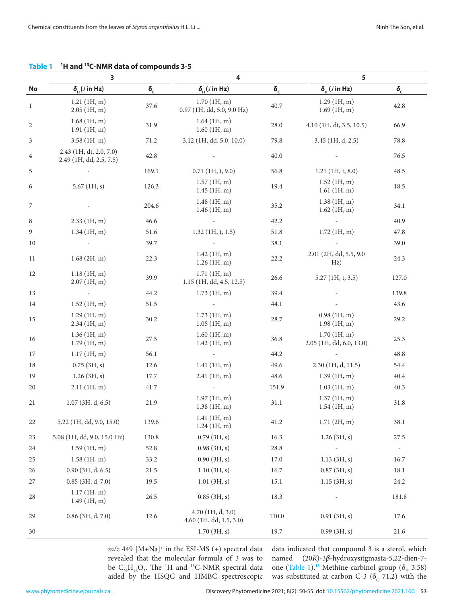|              | 3<br>4                                             |                        |                                                |            | 5                                       |                          |
|--------------|----------------------------------------------------|------------------------|------------------------------------------------|------------|-----------------------------------------|--------------------------|
| No           | $\delta_{\rm H}$ ( <i>J</i> in Hz)                 | $\pmb{\delta}_{\rm c}$ | $\delta_{\rm H}$ ( <i>J</i> in Hz)             | $\delta_c$ | $\delta_{\rm H}$ ( <i>J</i> in Hz)      | $\delta_{\rm c}$         |
| $\mathbf{1}$ | $1,21$ (1H, m)<br>2.05(1H, m)                      | 37.6                   | 1.70(1H, m)<br>0.97 (1H, dd, 5.0, 9.0 Hz)      | 40.7       | $1.29$ (1H, m)<br>1.69(1H, m)           | 42.8                     |
| 2            | 1.68(1H, m)<br>1.91(1H, m)                         | 31.9                   | $1.64$ (1H, m)<br>$1.60$ (1H, m)               | 28.0       | $4.10$ (1H, dt, 3.5, 10.5)              | 66.9                     |
| 3            | 3.58(1H, m)                                        | 71.2                   | 3.12 (1H, dd, 5.0, 10.0)                       | 79.8       | 3.45 (1H, d, 2.5)                       | 78.8                     |
| 4            | 2.43 (1H, dt, 2.0, 7.0)<br>2.49 (1H, dd, 2.5, 7.5) | 42.8                   |                                                | 40.0       |                                         | 76.5                     |
| 5            |                                                    | 169.1                  | $0.71$ (1H, t, 9.0)                            | 56.8       | $1.21$ (1H, t, 8.0)                     | 48.5                     |
| 6            | 5.67 $(1H, s)$                                     | 126.3                  | $1.57$ (1H, m)<br>$1.45$ (1H, m)               | 19.4       | $1.52$ (1H, m)<br>$1.61$ (1H, m)        | 18.5                     |
| 7            |                                                    | 204.6                  | 1.48(1H, m)<br>$1.46$ (1H, m)                  | 35.2       | 1.38(1H, m)<br>$1.62$ (1H, m)           | 34.1                     |
| 8            | $2.33$ (1H, m)                                     | 46.6                   |                                                | 42.2       |                                         | 40.9                     |
| 9            | 1.34(1H, m)                                        | 51.6                   | $1.32$ (1H, t, 1.5)                            | 51.8       | 1.72~(1H, m)                            | 47.8                     |
| 10           |                                                    | 39.7                   |                                                | 38.1       |                                         | 39.0                     |
| 11           | 1.68(2H, m)                                        | 22.3                   | 1.42~(1H, m)<br>$1.26$ (1H, m)                 | 22.2       | 2.01 (2H, dd, 5.5, 9.0<br>Hz)           | 24.3                     |
| 12           | 1.18~(1H, m)<br>2.07(1H,m)                         | 39.9                   | 1.71~(1H, m)<br>1.15 (1H, dd, 4.5, 12.5)       | 26.6       | $5.27$ (1H, t, 3.5)                     | 127.0                    |
| 13           |                                                    | 44.2                   | $1.73$ (1H, m)                                 | 39.4       |                                         | 139.8                    |
| 14           | $1.52$ (1H, m)                                     | 51.5                   |                                                | 44.1       |                                         | 43.6                     |
| 15           | 1.29(1H, m)<br>$2.34$ (1H, m)                      | 30.2                   | $1.73$ (1H, m)<br>$1.05$ (1H, m)               | 28.7       | 0.98(1H, m)<br>1.98(1H, m)              | 29.2                     |
| 16           | $1.36$ (1H, m)<br>1.79~(1H, m)                     | 27.5                   | $1.60$ (1H, m)<br>$1.42$ (1H, m)               | 36.8       | 1.70(1H, m)<br>2.05 (1H, dd, 6.0, 13.0) | 25.3                     |
| 17           | 1.17(1H,m)                                         | 56.1                   |                                                | 44.2       |                                         | 48.8                     |
| 18           | $0.75$ (3H, s)                                     | 12.6                   | $1.41$ (1H, m)                                 | 49.6       | $2.30$ (1H, d, 11.5)                    | 54.4                     |
| 19           | 1.26(3H, s)                                        | 17.7                   | $2.41$ (1H, m)                                 | 48.6       | 1.39(1H, m)                             | 40.4                     |
| 20           | $2.11$ (1H, m)                                     | 41.7                   |                                                | 151.9      | $1.03$ (1H, m)                          | 40.3                     |
| 21           | $1.07$ (3H, d, 6.5)                                | 21.9                   | 1.97(1H, m)<br>1.38(1H, m)                     | 31.1       | 1.37(1H, m)<br>$1.54$ (1H, m)           | 31.8                     |
| 22           | 5.22 (1H, dd, 9.0, 15.0)                           | 139.6                  | $1.41$ (1H, m)<br>$1.24$ (1H, m)               | 41.2       | 1.71(2H, m)                             | 38.1                     |
| 23           | 5.08 (1H, dd, 9.0, 15.0 Hz)                        | 130.8                  | 0.79(3H, s)                                    | 16.3       | $1.26$ (3H, s)                          | 27.5                     |
| 24           | $1.59$ (1H, m)                                     | 52.8                   | 0.98(3H, s)                                    | 28.8       |                                         | $\overline{\phantom{a}}$ |
| 25           | 1.58(1H, m)                                        | 33.2                   | 0.90(3H, s)                                    | 17.0       | $1.13$ (3H, s)                          | 16.7                     |
| 26           | $0.90$ (3H, d, 6.5)                                | 21.5                   | 1.10(3H, s)                                    | 16.7       | $0.87$ (3H, s)                          | 18.1                     |
| 27           | $0.85$ (3H, d, 7.0)                                | 19.5                   | 1.01(3H, s)                                    | 15.1       | 1.15(3H, s)                             | 24.2                     |
| 28           | 1.17(1H, m)<br>1.49(1H, m)                         | 26.5                   | $0.85$ (3H, s)                                 | 18.3       |                                         | 181.8                    |
| 29           | $0.86$ (3H, d, 7.0)                                | 12.6                   | $4.70$ (1H, d, 3.0)<br>4.60 (1H, dd, 1.5, 3.0) | 110.0      | 0.91(3H, s)                             | 17.6                     |
| 30           |                                                    |                        | 1.70(3H, s)                                    | 19.7       | 0.99(3H, s)                             | 21.6                     |

<span id="page-3-0"></span>**Table 1 <sup>1</sup> H and 13C-NMR data of compounds 3-5**

 $m/z$  449 [M+Na]<sup>+</sup> in the ESI-MS (+) spectral data revealed that the molecular formula of 3 was to be  $C_{29}H_{46}O_2$ . The <sup>1</sup>H and <sup>13</sup>C-NMR spectral data aided by the HSQC and HMBC spectroscopic

data indicated that compound 3 is a sterol, which named (20*R*)-3*β*-hydroxysitgmasta-5,22-dien-7- one (Table 1).<sup>[15](#page-5-0)</sup> Methine carbinol group ( $\delta$ <sub>H</sub> 3.58) was substituted at carbon C-3 ( $\delta_c$  71.2) with the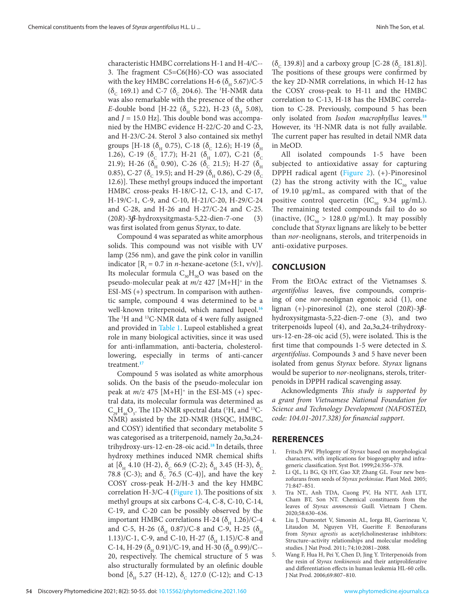<span id="page-4-0"></span>characteristic HMBC correlations H-1 and H-4/C-- 3. The fragment C5=C6(H6)-CO was associated with the key HMBC correlations H-6 ( $\delta$ <sub>H</sub> 5.67)/C-5 ( $\delta_c$  169.1) and C-7 ( $\delta_c$  204.6). The <sup>1</sup>H-NMR data was also remarkable with the presence of the other *E*-double bond [H-22 ( $\delta$ <sub>H</sub> 5.22), H-23 ( $\delta$ <sub>H</sub> 5.08), and  $J = 15.0$  Hz]. This double bond was accompanied by the HMBC evidence H-22/C-20 and C-23, and H-23/C-24. Sterol 3 also contained six methyl groups [H-18 ( $\delta$ <sub>H</sub> 0.75), C-18 ( $\delta$ <sub>C</sub> 12.6); H-19 ( $\delta$ <sub>H</sub> 1.26), C-19 ( $\delta_c$  17.7); H-21 ( $\delta_H$  1.07), C-21 ( $\delta_c$ 21.9); H-26 ( $\delta_H^{\text{H}}$  0.90), C-26 ( $\delta_C^{\text{H}}$  21.5); H-27 ( $\delta_H^{\text{C}}$ 0.85), C-27 ( $\delta_c$  19.5); and H-29 ( $\delta_H$  0.86), C-29 ( $\delta_c$ 12.6)]. These methyl groups induced the important HMBC cross-peaks H-18/C-12, C-13, and C-17, H-19/C-1, C-9, and C-10, H-21/C-20, H-29/C-24 and C-28, and H-26 and H-27/C-24 and C-25. (20*R*)-3*β*-hydroxysitgmasta-5,22-dien-7-one (3) was first isolated from genus *Styrax*, to date.

Compound 4 was separated as white amorphous solids. This compound was not visible with UV lamp (256 nm), and gave the pink color in vanillin indicator  $[R<sub>f</sub> = 0.7$  in *n*-hexane-acetone (5:1, v/v)]. Its molecular formula  $C_{30}H_{50}O$  was based on the pseudo-molecular peak at *m/z* 427 [M+H]+ in the ESI-MS (+) spectrum. In comparison with authentic sample, compound 4 was determined to be a well-known triterpenoid, which named lupeol.<sup>[16](#page-5-0)</sup> The <sup>1</sup>H and <sup>13</sup>C-NMR data of 4 were fully assigned and provided in [Table 1](#page-3-0). Lupeol established a great role in many biological activities, since it was used for anti-inflammation, anti-bacteria, cholesterollowering, especially in terms of anti-cancer treatment.**[17](#page-5-0)**

Compound 5 was isolated as white amorphous solids. On the basis of the pseudo-molecular ion peak at  $m/z$  475 [M+H]<sup>+</sup> in the ESI-MS (+) spectral data, its molecular formula was determined as  $C_{29}H_{46}O_5$ . The 1D-NMR spectral data (<sup>1</sup>H, and <sup>13</sup>C-NMR) assisted by the 2D-NMR (HSQC, HMBC, and COSY) identified that secondary metabolite 5 was categorised as a triterpenoid, namely 2α,3α,24 trihydroxy-urs-12-en-28-oic acid.**[18](#page-5-0)** In details, three hydroxy methines induced NMR chemical shifts at  $[\delta_{H}$  4.10 (H-2),  $\delta_{C}$  66.9 (C-2);  $\delta_{H}$  3.45 (H-3),  $\delta_{C}$ 78.8 (C-3); and  $\delta_c$  76.5 (C-4)], and have the key COSY cross-peak H-2/H-3 and the key HMBC correlation  $H-3/C-4$  [\(Figure 1\)](#page-2-0). The positions of six methyl groups at six carbons C-4, C-8, C-10, C-14, C-19, and C-20 can be possibly observed by the important HMBC correlations H-24 ( $\delta$ <sub>H</sub> 1.26)/C-4 and C-5, H-26 ( $\delta$ <sub>H</sub> 0.87)/C-8 and C-9, H-25 ( $\delta$ <sub>H</sub> 1.13)/C-1, C-9, and C-10, H-27 ( $\delta$ <sub>H</sub> 1.15)/C-8 and C-14, H-29 ( $\delta$ <sub>H</sub> 0.91)/C-19, and H-30 ( $\delta$ <sub>H</sub> 0.99)/C--20, respectively. The chemical structure of 5 was also structurally formulated by an olefinic double bond  $[\delta_{H}$  5.27 (H-12),  $\delta_{C}$  127.0 (C-12); and C-13

(δ<sub>c</sub> 139.8)] and a carboxy group [C-28 (δ<sub>c</sub> 181.8)]. The positions of these groups were confirmed by the key 2D-NMR correlations, in which H-12 has the COSY cross-peak to H-11 and the HMBC correlation to C-13, H-18 has the HMBC correlation to C-28. Previously, compound 5 has been only isolated from *Isodon macrophyllus* leaves.**[18](#page-5-0)** However, its <sup>1</sup>H-NMR data is not fully available. The current paper has resulted in detail NMR data in MeOD.

All isolated compounds 1-5 have been subjected to antioxidative assay for capturing DPPH radical agent (Figure 2). (+)-Pinoresinol (2) has the strong activity with the  $IC_{50}$  value of 19.10 µg/mL, as compared with that of the positive control quercetin (IC<sub>50</sub> 9.34  $\mu$ g/mL). The remaining tested compounds fail to do so (inactive,  $(IC_{50} > 128.0 \text{ µg/mL})$ . It may possibly conclude that *Styrax* lignans are likely to be better than *nor*-neolignans, sterols, and triterpenoids in anti-oxidative purposes.

# **CONCLUSION**

From the EtOAc extract of the Vietnamses *S. argentifolius* leaves, five compounds, comprising of one *nor*-neolignan egonoic acid (1), one lignan (+)-pinoresinol (2), one sterol (20*R*)-3*β*hydroxysitgmasta-5,22-dien-7-one (3), and two triterpenoids lupeol (4), and 2α,3α,24-trihydroxyurs-12-en-28-oic acid (5), were isolated. This is the first time that compounds 1-5 were detected in *S. argentifolius*. Compounds 3 and 5 have never been isolated from genus *Styrax* before. *Styrax* lignans would be superior to *nor*-neolignans, sterols, triterpenoids in DPPH radical scavenging assay.

Acknowledgments *This study is supported by a grant from Vietnamese National Foundation for Science and Technology Development (NAFOSTED, code: 104.01-2017.328) for financial support*.

# **RERERENCES**

- 1. Fritsch PW. Phylogeny of *Styrax* based on morphological characters, with implications for biogeography and infrageneric classification. Syst Bot. 1999;24:356–378.
- 2. Li QL, Li BG, Qi HY, Gao XP, Zhang GL. Four new benzofurans from seeds of *Styrax perkinsiae*. Plant Med*.* 2005; 71:847–851.
- 3. Tra NT., Anh TDA, Cuong PV, Ha NTT, Anh LTT, Cham BT, Son NT. Chemical constituents from the leaves of *Styrax annmensis* Guill*.* Vietnam J Chem. 2020;58:630–636.
- 4. Liu J, Dumontet V, Simonin AL, Iorga BI, Guerineau V, Litaudon M, Nguyen VH, Gueritte F. Benzofurans from *Styrax agrestis* as acetylcholinesterase inhibitors: Structure–activity relationships and molecular modeling studies. J Nat Prod. 2011; 74;10:2081–2088.
- 5. Wang F, Hua H, Pei Y, Chen D, Jing Y. Triterpenoids from the resin of *Styrax tonkinensis* and their antiproliferative and differentiation effects in human leukemia HL-60 cells. J Nat Prod. 2006;69:807–810.